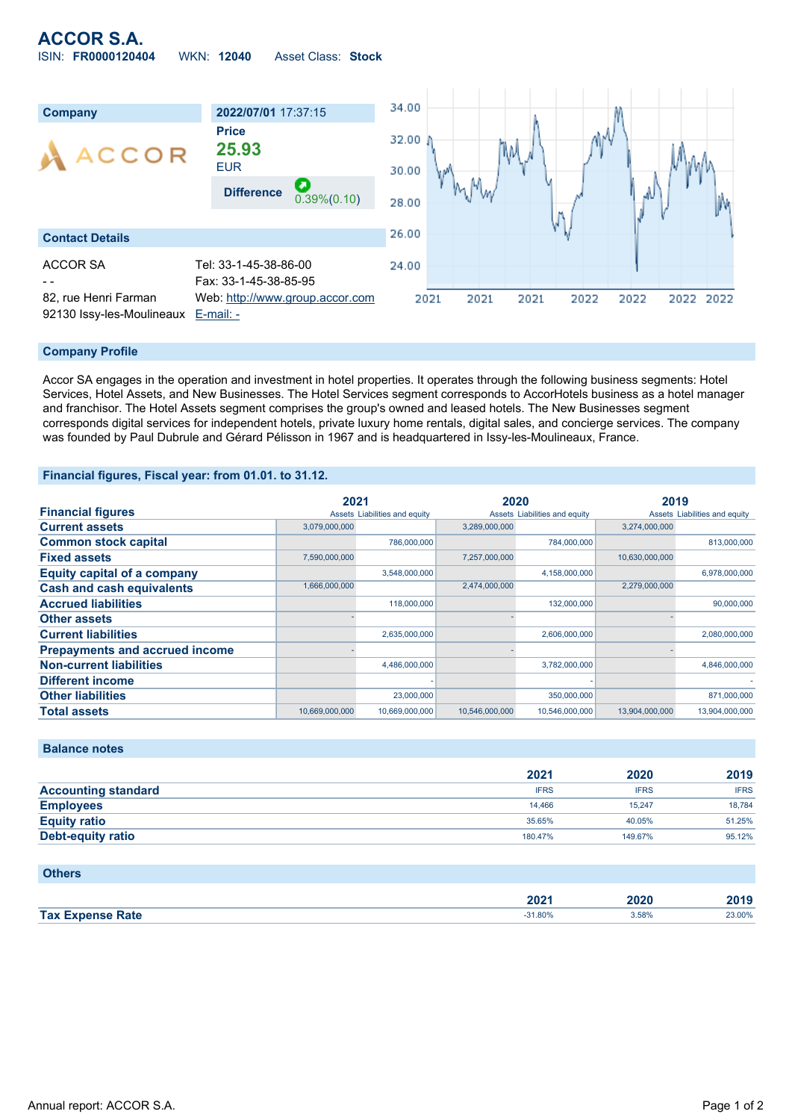# **ACCOR S.A.** ISIN: **FR0000120404** WKN: **12040** Asset Class: **Stock**



#### **Company Profile**

Accor SA engages in the operation and investment in hotel properties. It operates through the following business segments: Hotel Services, Hotel Assets, and New Businesses. The Hotel Services segment corresponds to AccorHotels business as a hotel manager and franchisor. The Hotel Assets segment comprises the group's owned and leased hotels. The New Businesses segment corresponds digital services for independent hotels, private luxury home rentals, digital sales, and concierge services. The company was founded by Paul Dubrule and Gérard Pélisson in 1967 and is headquartered in Issy-les-Moulineaux, France.

### **Financial figures, Fiscal year: from 01.01. to 31.12.**

|                                       | 2021           |                               | 2020           |                               | 2019           |                               |
|---------------------------------------|----------------|-------------------------------|----------------|-------------------------------|----------------|-------------------------------|
| <b>Financial figures</b>              |                | Assets Liabilities and equity |                | Assets Liabilities and equity |                | Assets Liabilities and equity |
| <b>Current assets</b>                 | 3,079,000,000  |                               | 3,289,000,000  |                               | 3,274,000,000  |                               |
| <b>Common stock capital</b>           |                | 786,000,000                   |                | 784,000,000                   |                | 813,000,000                   |
| <b>Fixed assets</b>                   | 7,590,000,000  |                               | 7,257,000,000  |                               | 10,630,000,000 |                               |
| <b>Equity capital of a company</b>    |                | 3,548,000,000                 |                | 4,158,000,000                 |                | 6,978,000,000                 |
| <b>Cash and cash equivalents</b>      | 1,666,000,000  |                               | 2,474,000,000  |                               | 2,279,000,000  |                               |
| <b>Accrued liabilities</b>            |                | 118,000,000                   |                | 132,000,000                   |                | 90,000,000                    |
| <b>Other assets</b>                   |                |                               |                |                               |                |                               |
| <b>Current liabilities</b>            |                | 2,635,000,000                 |                | 2,606,000,000                 |                | 2,080,000,000                 |
| <b>Prepayments and accrued income</b> |                |                               |                |                               |                |                               |
| <b>Non-current liabilities</b>        |                | 4,486,000,000                 |                | 3,782,000,000                 |                | 4,846,000,000                 |
| <b>Different income</b>               |                |                               |                |                               |                |                               |
| <b>Other liabilities</b>              |                | 23,000,000                    |                | 350,000,000                   |                | 871,000,000                   |
| <b>Total assets</b>                   | 10.669.000.000 | 10.669.000.000                | 10.546.000.000 | 10.546.000.000                | 13.904.000.000 | 13.904.000.000                |

## **Balance notes**

|                            | 2021        | 2020        | 2019        |
|----------------------------|-------------|-------------|-------------|
| <b>Accounting standard</b> | <b>IFRS</b> | <b>IFRS</b> | <b>IFRS</b> |
| <b>Employees</b>           | 14.466      | 15.247      | 18.784      |
| <b>Equity ratio</b>        | 35.65%      | 40.05%      | 51.25%      |
| Debt-equity ratio          | 180.47%     | 149.67%     | 95.12%      |

#### **Others**

|                         | ∘מ∩   | 2020 | 1040   |
|-------------------------|-------|------|--------|
| <b>Tax Expense Rate</b> | 1.80% | .58% | 23.00% |